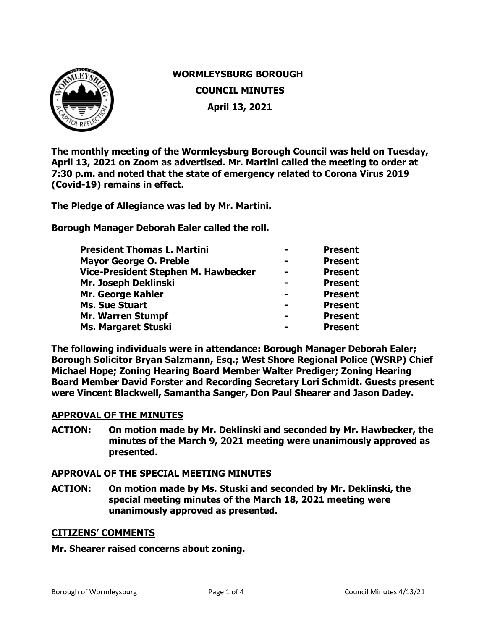

# **WORMLEYSBURG BOROUGH COUNCIL MINUTES April 13, 2021**

**The monthly meeting of the Wormleysburg Borough Council was held on Tuesday, April 13, 2021 on Zoom as advertised. Mr. Martini called the meeting to order at 7:30 p.m. and noted that the state of emergency related to Corona Virus 2019 (Covid-19) remains in effect.**

**The Pledge of Allegiance was led by Mr. Martini.** 

**Borough Manager Deborah Ealer called the roll.** 

| <b>President Thomas L. Martini</b>  | <b>Present</b> |
|-------------------------------------|----------------|
| <b>Mayor George O. Preble</b>       | <b>Present</b> |
| Vice-President Stephen M. Hawbecker | <b>Present</b> |
| Mr. Joseph Deklinski                | <b>Present</b> |
| Mr. George Kahler                   | <b>Present</b> |
| <b>Ms. Sue Stuart</b>               | <b>Present</b> |
| <b>Mr. Warren Stumpf</b>            | <b>Present</b> |
| Ms. Margaret Stuski                 | <b>Present</b> |

**The following individuals were in attendance: Borough Manager Deborah Ealer; Borough Solicitor Bryan Salzmann, Esq.; West Shore Regional Police (WSRP) Chief Michael Hope; Zoning Hearing Board Member Walter Prediger; Zoning Hearing Board Member David Forster and Recording Secretary Lori Schmidt. Guests present were Vincent Blackwell, Samantha Sanger, Don Paul Shearer and Jason Dadey.**

# **APPROVAL OF THE MINUTES**

**ACTION: On motion made by Mr. Deklinski and seconded by Mr. Hawbecker, the minutes of the March 9, 2021 meeting were unanimously approved as presented.** 

# **APPROVAL OF THE SPECIAL MEETING MINUTES**

**ACTION: On motion made by Ms. Stuski and seconded by Mr. Deklinski, the special meeting minutes of the March 18, 2021 meeting were unanimously approved as presented.** 

# **CITIZENS' COMMENTS**

# **Mr. Shearer raised concerns about zoning.**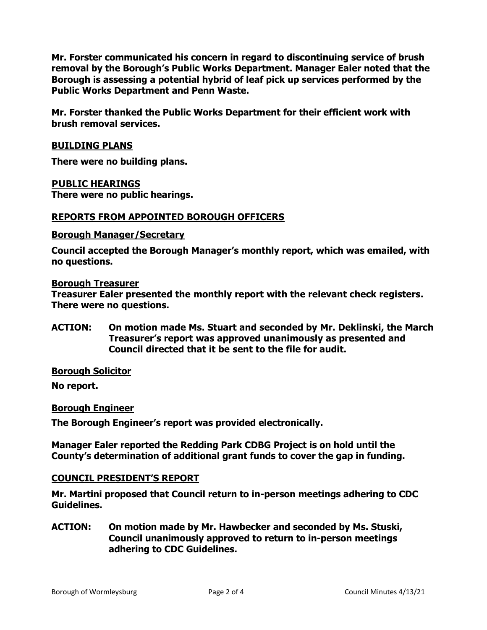**Mr. Forster communicated his concern in regard to discontinuing service of brush removal by the Borough's Public Works Department. Manager Ealer noted that the Borough is assessing a potential hybrid of leaf pick up services performed by the Public Works Department and Penn Waste.**

**Mr. Forster thanked the Public Works Department for their efficient work with brush removal services.** 

# **BUILDING PLANS**

**There were no building plans.** 

# **PUBLIC HEARINGS**

**There were no public hearings.**

# **REPORTS FROM APPOINTED BOROUGH OFFICERS**

#### **Borough Manager/Secretary**

**Council accepted the Borough Manager's monthly report, which was emailed, with no questions.**

#### **Borough Treasurer**

**Treasurer Ealer presented the monthly report with the relevant check registers. There were no questions.** 

**ACTION: On motion made Ms. Stuart and seconded by Mr. Deklinski, the March Treasurer's report was approved unanimously as presented and Council directed that it be sent to the file for audit.** 

# **Borough Solicitor**

**No report.** 

# **Borough Engineer**

**The Borough Engineer's report was provided electronically.** 

**Manager Ealer reported the Redding Park CDBG Project is on hold until the County's determination of additional grant funds to cover the gap in funding.** 

# **COUNCIL PRESIDENT'S REPORT**

**Mr. Martini proposed that Council return to in-person meetings adhering to CDC Guidelines.**

**ACTION: On motion made by Mr. Hawbecker and seconded by Ms. Stuski, Council unanimously approved to return to in-person meetings adhering to CDC Guidelines.**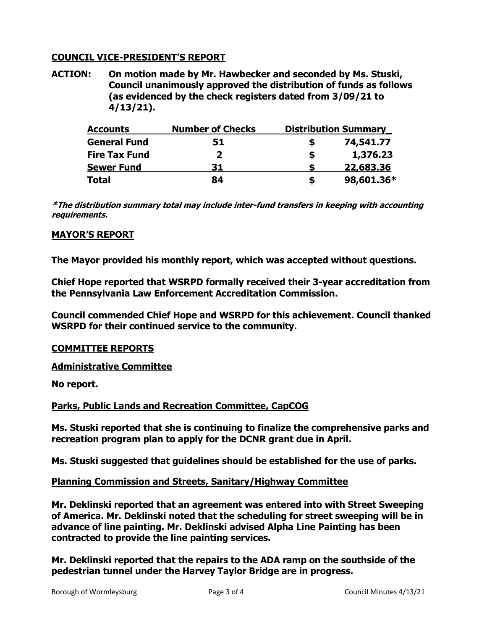# **COUNCIL VICE-PRESIDENT'S REPORT**

**ACTION: On motion made by Mr. Hawbecker and seconded by Ms. Stuski, Council unanimously approved the distribution of funds as follows (as evidenced by the check registers dated from 3/09/21 to 4/13/21).**

| <b>Accounts</b>      | <b>Number of Checks</b> | <b>Distribution Summary</b> |
|----------------------|-------------------------|-----------------------------|
| <b>General Fund</b>  | 51                      | 74,541.77                   |
| <b>Fire Tax Fund</b> | $\mathbf{2}$            | 1,376.23<br>S               |
| <b>Sewer Fund</b>    | 31                      | 22,683.36                   |
| <b>Total</b>         | 84                      | 98,601.36*<br>S             |

**\*The distribution summary total may include inter-fund transfers in keeping with accounting requirements.**

# **MAYOR'S REPORT**

**The Mayor provided his monthly report, which was accepted without questions.** 

**Chief Hope reported that WSRPD formally received their 3-year accreditation from the Pennsylvania Law Enforcement Accreditation Commission.** 

**Council commended Chief Hope and WSRPD for this achievement. Council thanked WSRPD for their continued service to the community.**

# **COMMITTEE REPORTS**

**Administrative Committee** 

**No report.**

# **Parks, Public Lands and Recreation Committee, CapCOG**

**Ms. Stuski reported that she is continuing to finalize the comprehensive parks and recreation program plan to apply for the DCNR grant due in April.**

**Ms. Stuski suggested that guidelines should be established for the use of parks.** 

# **Planning Commission and Streets, Sanitary/Highway Committee**

**Mr. Deklinski reported that an agreement was entered into with Street Sweeping of America. Mr. Deklinski noted that the scheduling for street sweeping will be in advance of line painting. Mr. Deklinski advised Alpha Line Painting has been contracted to provide the line painting services.**

**Mr. Deklinski reported that the repairs to the ADA ramp on the southside of the pedestrian tunnel under the Harvey Taylor Bridge are in progress.**